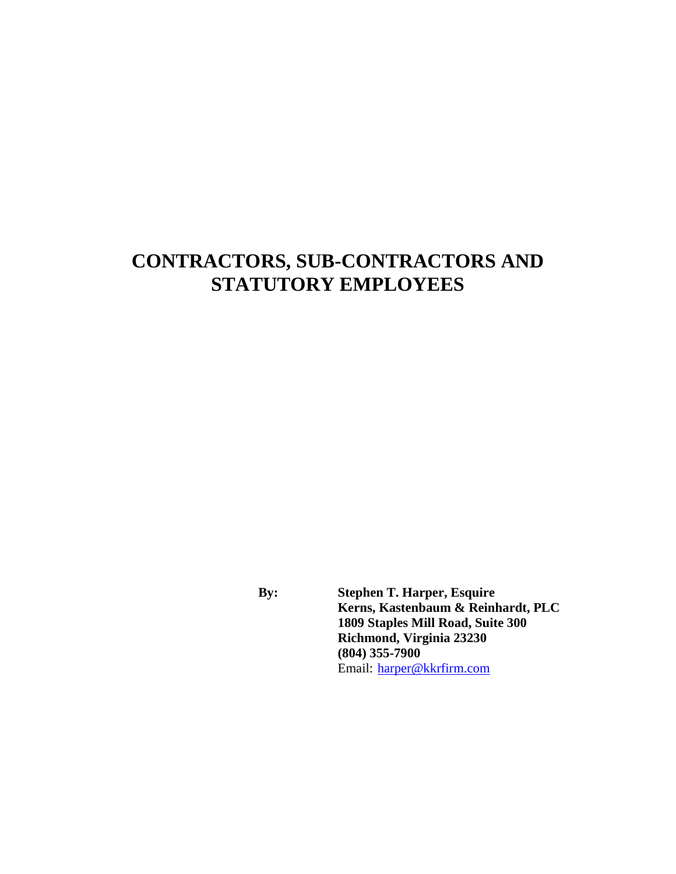# **CONTRACTORS, SUB-CONTRACTORS AND STATUTORY EMPLOYEES**

**By: Stephen T. Harper, Esquire Kerns, Kastenbaum & Reinhardt, PLC 1809 Staples Mill Road, Suite 300 Richmond, Virginia 23230 (804) 355-7900** Email: [harper@kkrfirm.com](mailto:harper@kkrfirm.com)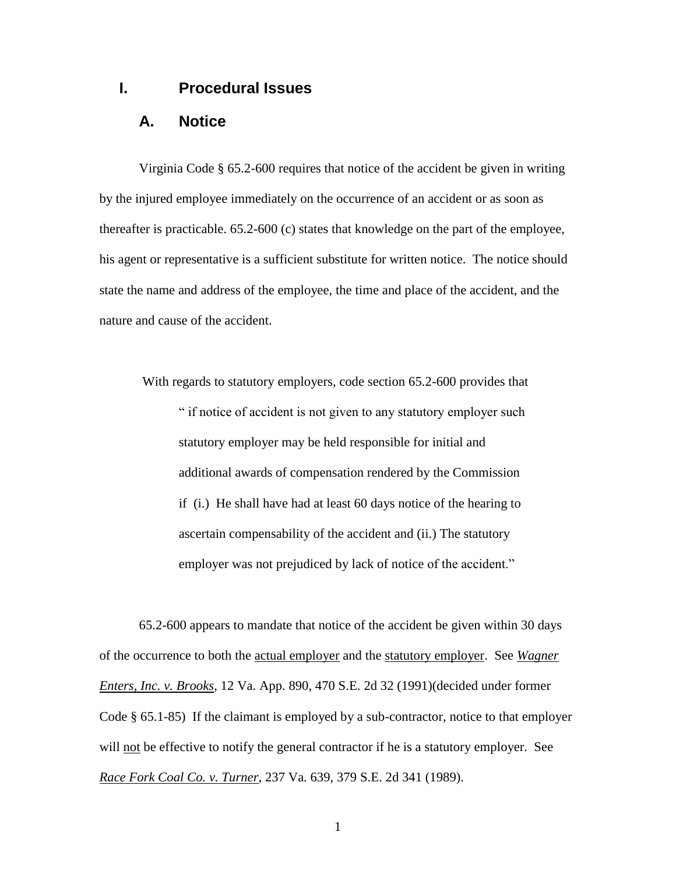#### **I. Procedural Issues**

#### **A. Notice**

Virginia Code § 65.2-600 requires that notice of the accident be given in writing by the injured employee immediately on the occurrence of an accident or as soon as thereafter is practicable. 65.2-600 (c) states that knowledge on the part of the employee, his agent or representative is a sufficient substitute for written notice. The notice should state the name and address of the employee, the time and place of the accident, and the nature and cause of the accident.

With regards to statutory employers, code section 65.2-600 provides that " if notice of accident is not given to any statutory employer such statutory employer may be held responsible for initial and additional awards of compensation rendered by the Commission if (i.) He shall have had at least 60 days notice of the hearing to ascertain compensability of the accident and (ii.) The statutory employer was not prejudiced by lack of notice of the accident."

65.2-600 appears to mandate that notice of the accident be given within 30 days of the occurrence to both the actual employer and the statutory employer. See *Wagner Enters, Inc. v. Brooks*, 12 Va. App. 890, 470 S.E. 2d 32 (1991)(decided under former Code § 65.1-85) If the claimant is employed by a sub-contractor, notice to that employer will not be effective to notify the general contractor if he is a statutory employer. See *Race Fork Coal Co. v. Turner*, 237 Va. 639, 379 S.E. 2d 341 (1989).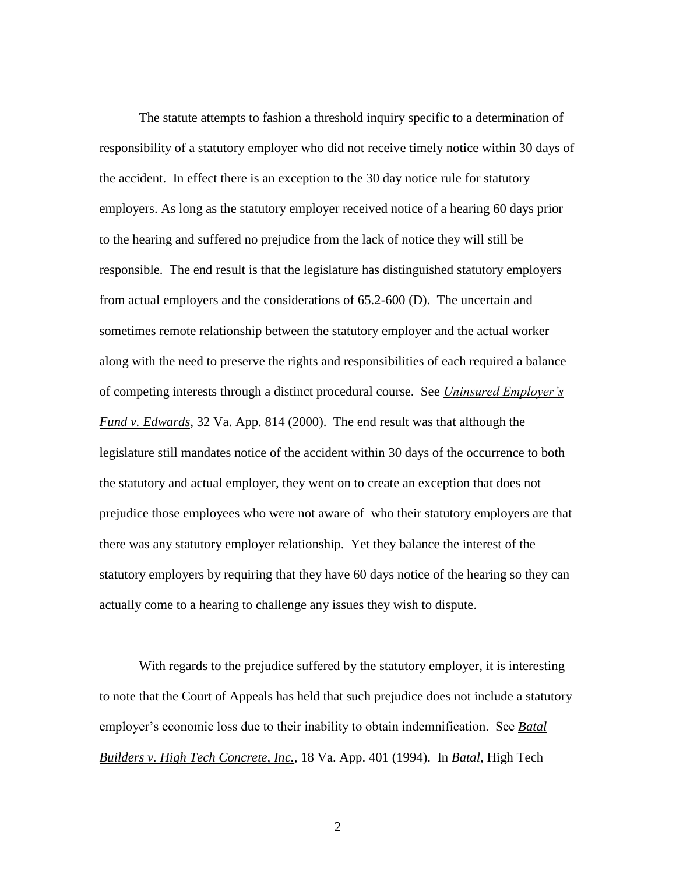The statute attempts to fashion a threshold inquiry specific to a determination of responsibility of a statutory employer who did not receive timely notice within 30 days of the accident. In effect there is an exception to the 30 day notice rule for statutory employers. As long as the statutory employer received notice of a hearing 60 days prior to the hearing and suffered no prejudice from the lack of notice they will still be responsible. The end result is that the legislature has distinguished statutory employers from actual employers and the considerations of 65.2-600 (D). The uncertain and sometimes remote relationship between the statutory employer and the actual worker along with the need to preserve the rights and responsibilities of each required a balance of competing interests through a distinct procedural course. See *Uninsured Employer's Fund v. Edwards*, 32 Va. App. 814 (2000). The end result was that although the legislature still mandates notice of the accident within 30 days of the occurrence to both the statutory and actual employer, they went on to create an exception that does not prejudice those employees who were not aware of who their statutory employers are that there was any statutory employer relationship. Yet they balance the interest of the statutory employers by requiring that they have 60 days notice of the hearing so they can actually come to a hearing to challenge any issues they wish to dispute.

With regards to the prejudice suffered by the statutory employer, it is interesting to note that the Court of Appeals has held that such prejudice does not include a statutory employer's economic loss due to their inability to obtain indemnification. See *Batal Builders v. High Tech Concrete, Inc.*, 18 Va. App. 401 (1994). In *Batal*, High Tech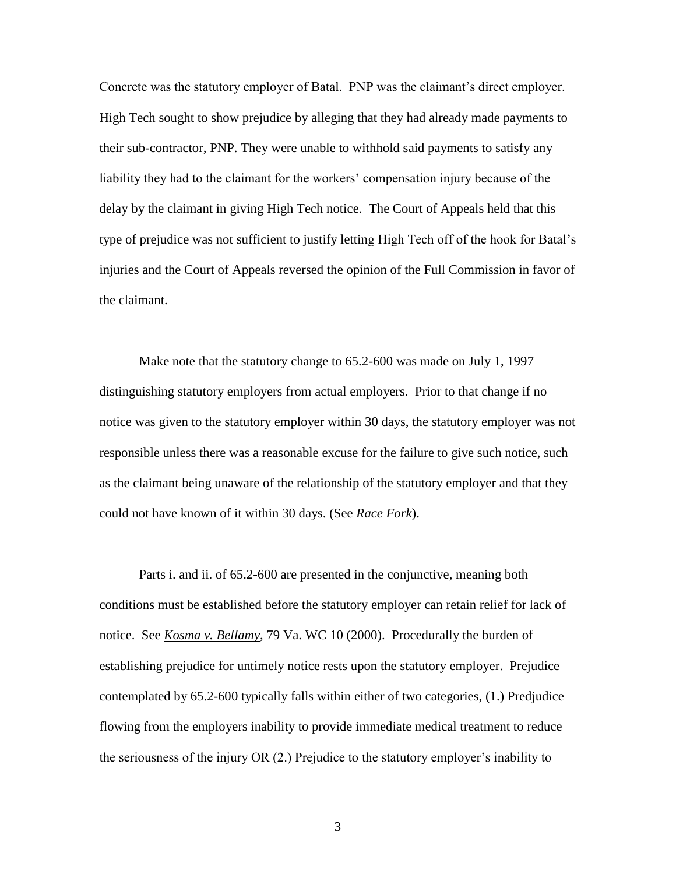Concrete was the statutory employer of Batal. PNP was the claimant's direct employer. High Tech sought to show prejudice by alleging that they had already made payments to their sub-contractor, PNP. They were unable to withhold said payments to satisfy any liability they had to the claimant for the workers' compensation injury because of the delay by the claimant in giving High Tech notice. The Court of Appeals held that this type of prejudice was not sufficient to justify letting High Tech off of the hook for Batal's injuries and the Court of Appeals reversed the opinion of the Full Commission in favor of the claimant.

Make note that the statutory change to 65.2-600 was made on July 1, 1997 distinguishing statutory employers from actual employers. Prior to that change if no notice was given to the statutory employer within 30 days, the statutory employer was not responsible unless there was a reasonable excuse for the failure to give such notice, such as the claimant being unaware of the relationship of the statutory employer and that they could not have known of it within 30 days. (See *Race Fork*).

Parts i. and ii. of 65.2-600 are presented in the conjunctive, meaning both conditions must be established before the statutory employer can retain relief for lack of notice. See *Kosma v. Bellamy*, 79 Va. WC 10 (2000). Procedurally the burden of establishing prejudice for untimely notice rests upon the statutory employer. Prejudice contemplated by 65.2-600 typically falls within either of two categories, (1.) Predjudice flowing from the employers inability to provide immediate medical treatment to reduce the seriousness of the injury OR (2.) Prejudice to the statutory employer's inability to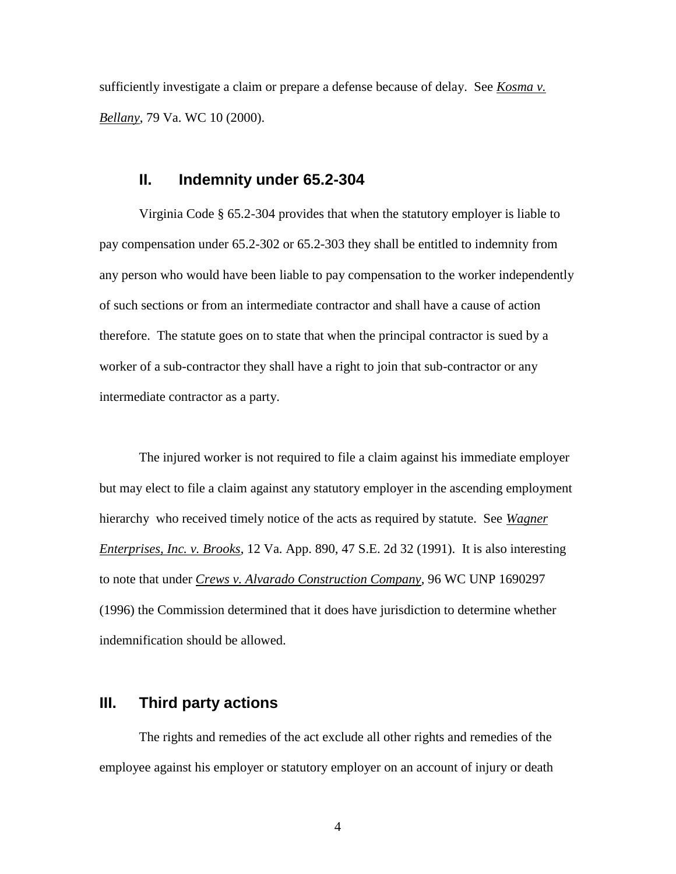sufficiently investigate a claim or prepare a defense because of delay. See *Kosma v. Bellany*, 79 Va. WC 10 (2000).

#### **II. Indemnity under 65.2-304**

Virginia Code § 65.2-304 provides that when the statutory employer is liable to pay compensation under 65.2-302 or 65.2-303 they shall be entitled to indemnity from any person who would have been liable to pay compensation to the worker independently of such sections or from an intermediate contractor and shall have a cause of action therefore. The statute goes on to state that when the principal contractor is sued by a worker of a sub-contractor they shall have a right to join that sub-contractor or any intermediate contractor as a party.

The injured worker is not required to file a claim against his immediate employer but may elect to file a claim against any statutory employer in the ascending employment hierarchy who received timely notice of the acts as required by statute. See *Wagner Enterprises, Inc. v. Brooks*, 12 Va. App. 890, 47 S.E. 2d 32 (1991). It is also interesting to note that under *Crews v. Alvarado Construction Company*, 96 WC UNP 1690297 (1996) the Commission determined that it does have jurisdiction to determine whether indemnification should be allowed.

## **III. Third party actions**

The rights and remedies of the act exclude all other rights and remedies of the employee against his employer or statutory employer on an account of injury or death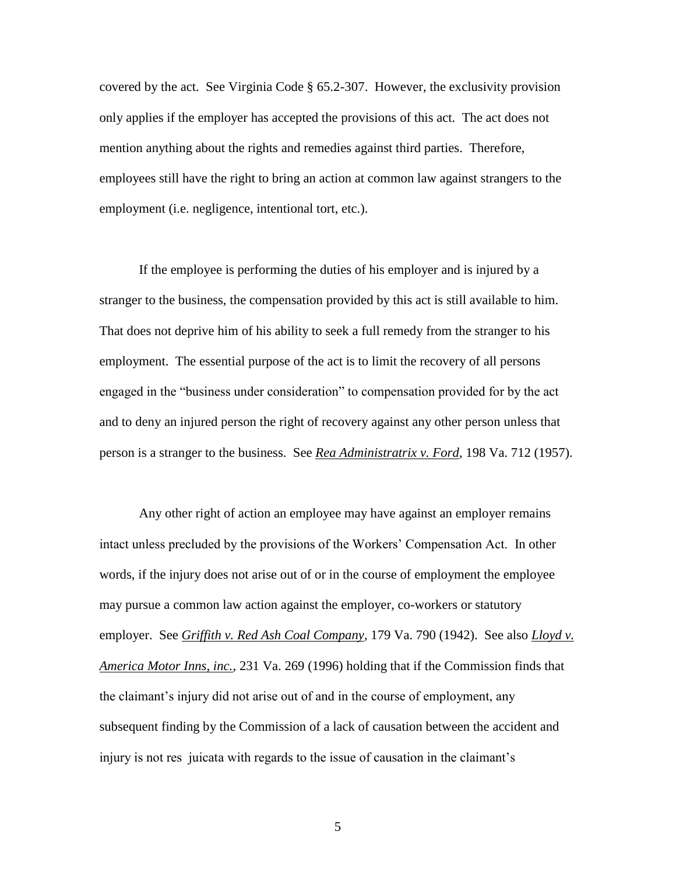covered by the act. See Virginia Code § 65.2-307. However, the exclusivity provision only applies if the employer has accepted the provisions of this act. The act does not mention anything about the rights and remedies against third parties. Therefore, employees still have the right to bring an action at common law against strangers to the employment (i.e. negligence, intentional tort, etc.).

If the employee is performing the duties of his employer and is injured by a stranger to the business, the compensation provided by this act is still available to him. That does not deprive him of his ability to seek a full remedy from the stranger to his employment. The essential purpose of the act is to limit the recovery of all persons engaged in the "business under consideration" to compensation provided for by the act and to deny an injured person the right of recovery against any other person unless that person is a stranger to the business. See *Rea Administratrix v. Ford*, 198 Va. 712 (1957).

Any other right of action an employee may have against an employer remains intact unless precluded by the provisions of the Workers' Compensation Act. In other words, if the injury does not arise out of or in the course of employment the employee may pursue a common law action against the employer, co-workers or statutory employer. See *Griffith v. Red Ash Coal Company*, 179 Va. 790 (1942). See also *Lloyd v. America Motor Inns, inc.*, 231 Va. 269 (1996) holding that if the Commission finds that the claimant's injury did not arise out of and in the course of employment, any subsequent finding by the Commission of a lack of causation between the accident and injury is not res juicata with regards to the issue of causation in the claimant's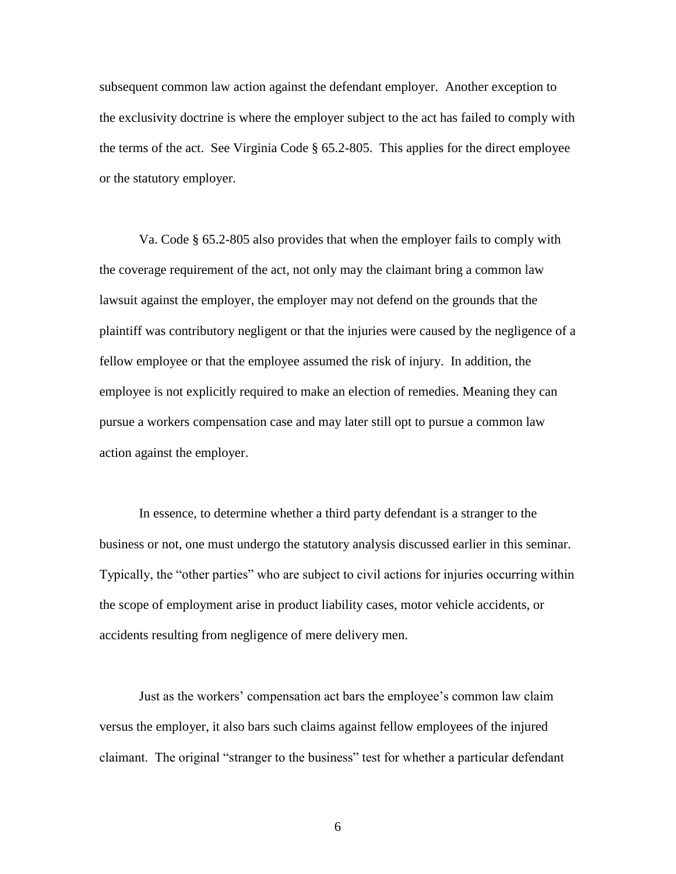subsequent common law action against the defendant employer. Another exception to the exclusivity doctrine is where the employer subject to the act has failed to comply with the terms of the act. See Virginia Code § 65.2-805. This applies for the direct employee or the statutory employer.

Va. Code § 65.2-805 also provides that when the employer fails to comply with the coverage requirement of the act, not only may the claimant bring a common law lawsuit against the employer, the employer may not defend on the grounds that the plaintiff was contributory negligent or that the injuries were caused by the negligence of a fellow employee or that the employee assumed the risk of injury. In addition, the employee is not explicitly required to make an election of remedies. Meaning they can pursue a workers compensation case and may later still opt to pursue a common law action against the employer.

In essence, to determine whether a third party defendant is a stranger to the business or not, one must undergo the statutory analysis discussed earlier in this seminar. Typically, the "other parties" who are subject to civil actions for injuries occurring within the scope of employment arise in product liability cases, motor vehicle accidents, or accidents resulting from negligence of mere delivery men.

Just as the workers' compensation act bars the employee's common law claim versus the employer, it also bars such claims against fellow employees of the injured claimant. The original "stranger to the business" test for whether a particular defendant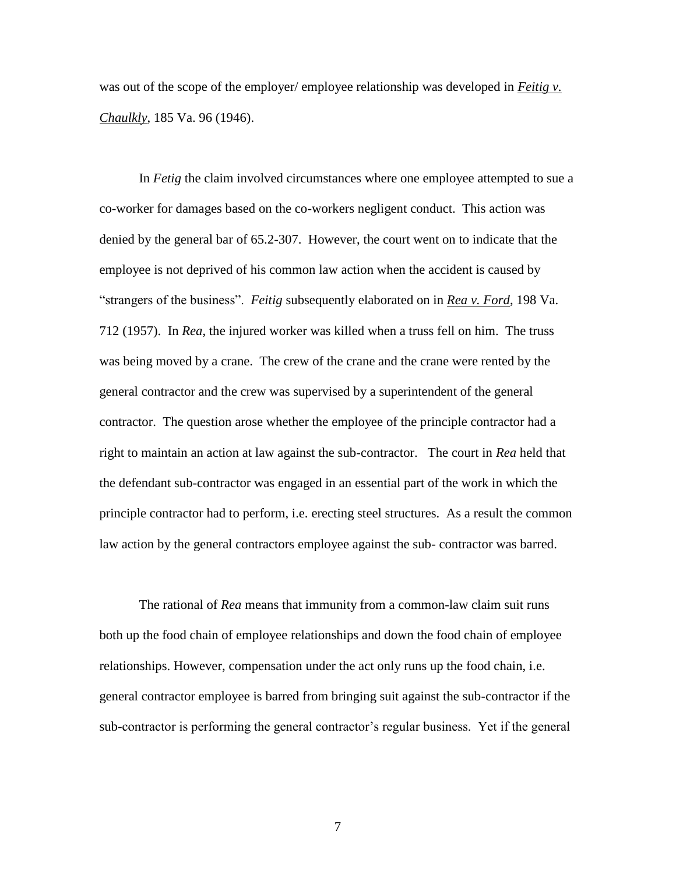was out of the scope of the employer/ employee relationship was developed in *Feitig v. Chaulkly*, 185 Va. 96 (1946).

In *Fetig* the claim involved circumstances where one employee attempted to sue a co-worker for damages based on the co-workers negligent conduct. This action was denied by the general bar of 65.2-307. However, the court went on to indicate that the employee is not deprived of his common law action when the accident is caused by "strangers of the business". *Feitig* subsequently elaborated on in *Rea v. Ford*, 198 Va. 712 (1957). In *Rea*, the injured worker was killed when a truss fell on him. The truss was being moved by a crane. The crew of the crane and the crane were rented by the general contractor and the crew was supervised by a superintendent of the general contractor. The question arose whether the employee of the principle contractor had a right to maintain an action at law against the sub-contractor. The court in *Rea* held that the defendant sub-contractor was engaged in an essential part of the work in which the principle contractor had to perform, i.e. erecting steel structures. As a result the common law action by the general contractors employee against the sub- contractor was barred.

The rational of *Rea* means that immunity from a common-law claim suit runs both up the food chain of employee relationships and down the food chain of employee relationships. However, compensation under the act only runs up the food chain, i.e. general contractor employee is barred from bringing suit against the sub-contractor if the sub-contractor is performing the general contractor's regular business. Yet if the general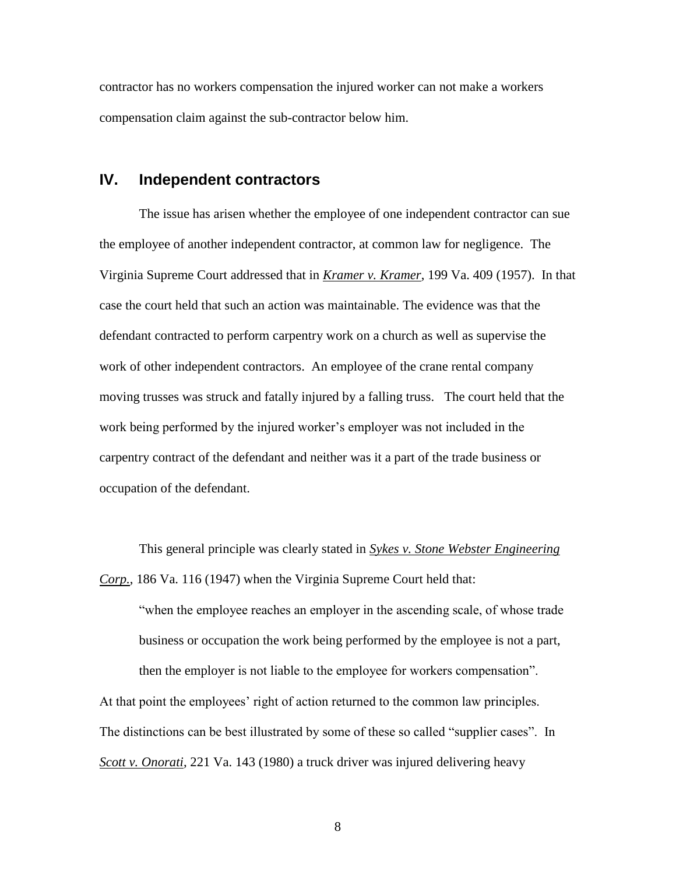contractor has no workers compensation the injured worker can not make a workers compensation claim against the sub-contractor below him.

### **IV. Independent contractors**

The issue has arisen whether the employee of one independent contractor can sue the employee of another independent contractor, at common law for negligence. The Virginia Supreme Court addressed that in *Kramer v. Kramer*, 199 Va. 409 (1957). In that case the court held that such an action was maintainable. The evidence was that the defendant contracted to perform carpentry work on a church as well as supervise the work of other independent contractors. An employee of the crane rental company moving trusses was struck and fatally injured by a falling truss. The court held that the work being performed by the injured worker's employer was not included in the carpentry contract of the defendant and neither was it a part of the trade business or occupation of the defendant.

This general principle was clearly stated in *Sykes v. Stone Webster Engineering Corp.*, 186 Va. 116 (1947) when the Virginia Supreme Court held that:

"when the employee reaches an employer in the ascending scale, of whose trade business or occupation the work being performed by the employee is not a part, then the employer is not liable to the employee for workers compensation".

At that point the employees' right of action returned to the common law principles. The distinctions can be best illustrated by some of these so called "supplier cases". In *Scott v. Onorati*, 221 Va. 143 (1980) a truck driver was injured delivering heavy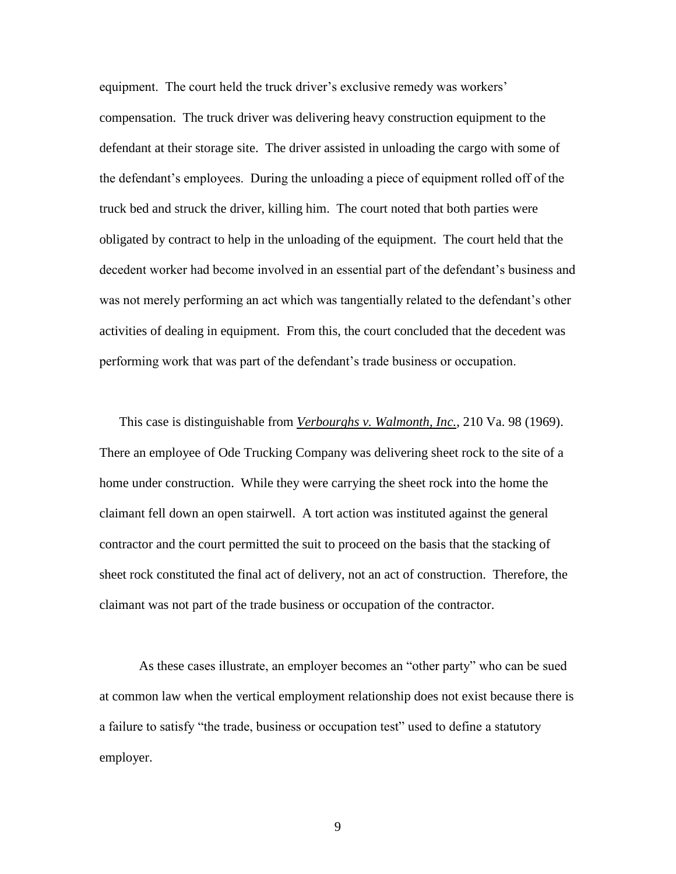equipment. The court held the truck driver's exclusive remedy was workers' compensation. The truck driver was delivering heavy construction equipment to the defendant at their storage site. The driver assisted in unloading the cargo with some of the defendant's employees. During the unloading a piece of equipment rolled off of the truck bed and struck the driver, killing him. The court noted that both parties were obligated by contract to help in the unloading of the equipment. The court held that the decedent worker had become involved in an essential part of the defendant's business and was not merely performing an act which was tangentially related to the defendant's other activities of dealing in equipment. From this, the court concluded that the decedent was performing work that was part of the defendant's trade business or occupation.

This case is distinguishable from *Verbourghs v. Walmonth, Inc.*, 210 Va. 98 (1969). There an employee of Ode Trucking Company was delivering sheet rock to the site of a home under construction. While they were carrying the sheet rock into the home the claimant fell down an open stairwell. A tort action was instituted against the general contractor and the court permitted the suit to proceed on the basis that the stacking of sheet rock constituted the final act of delivery, not an act of construction. Therefore, the claimant was not part of the trade business or occupation of the contractor.

As these cases illustrate, an employer becomes an "other party" who can be sued at common law when the vertical employment relationship does not exist because there is a failure to satisfy "the trade, business or occupation test" used to define a statutory employer.